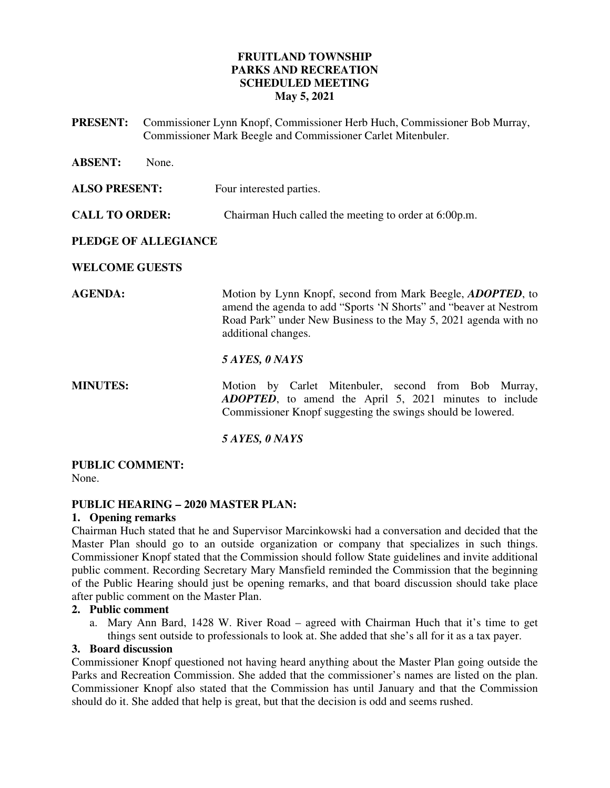# **FRUITLAND TOWNSHIP PARKS AND RECREATION SCHEDULED MEETING May 5, 2021**

**PRESENT:** Commissioner Lynn Knopf, Commissioner Herb Huch, Commissioner Bob Murray, Commissioner Mark Beegle and Commissioner Carlet Mitenbuler.

| <b>ABSENT:</b>        | None. |                                                                                                                                                                                                                                   |
|-----------------------|-------|-----------------------------------------------------------------------------------------------------------------------------------------------------------------------------------------------------------------------------------|
| <b>ALSO PRESENT:</b>  |       | Four interested parties.                                                                                                                                                                                                          |
| <b>CALL TO ORDER:</b> |       | Chairman Huch called the meeting to order at 6:00p.m.                                                                                                                                                                             |
| PLEDGE OF ALLEGIANCE  |       |                                                                                                                                                                                                                                   |
| <b>WELCOME GUESTS</b> |       |                                                                                                                                                                                                                                   |
| <b>AGENDA:</b>        |       | Motion by Lynn Knopf, second from Mark Beegle, <i>ADOPTED</i> , to<br>amend the agenda to add "Sports 'N Shorts" and "beaver at Nestrom<br>Road Park" under New Business to the May 5, 2021 agenda with no<br>additional changes. |
|                       |       | 5 AYES, 0 NAYS                                                                                                                                                                                                                    |
| <b>MINUTES:</b>       |       | Motion by Carlet Mitenbuler, second from Bob Murray,<br><b>ADOPTED</b> , to amend the April 5, 2021 minutes to include<br>Commissioner Knopf suggesting the swings should be lowered.                                             |
|                       |       | 5 AYES, 0 NAYS                                                                                                                                                                                                                    |

# **PUBLIC COMMENT:**

None.

# **PUBLIC HEARING – 2020 MASTER PLAN:**

# **1. Opening remarks**

Chairman Huch stated that he and Supervisor Marcinkowski had a conversation and decided that the Master Plan should go to an outside organization or company that specializes in such things. Commissioner Knopf stated that the Commission should follow State guidelines and invite additional public comment. Recording Secretary Mary Mansfield reminded the Commission that the beginning of the Public Hearing should just be opening remarks, and that board discussion should take place after public comment on the Master Plan.

# **2. Public comment**

a. Mary Ann Bard, 1428 W. River Road – agreed with Chairman Huch that it's time to get things sent outside to professionals to look at. She added that she's all for it as a tax payer.

#### **3. Board discussion**

Commissioner Knopf questioned not having heard anything about the Master Plan going outside the Parks and Recreation Commission. She added that the commissioner's names are listed on the plan. Commissioner Knopf also stated that the Commission has until January and that the Commission should do it. She added that help is great, but that the decision is odd and seems rushed.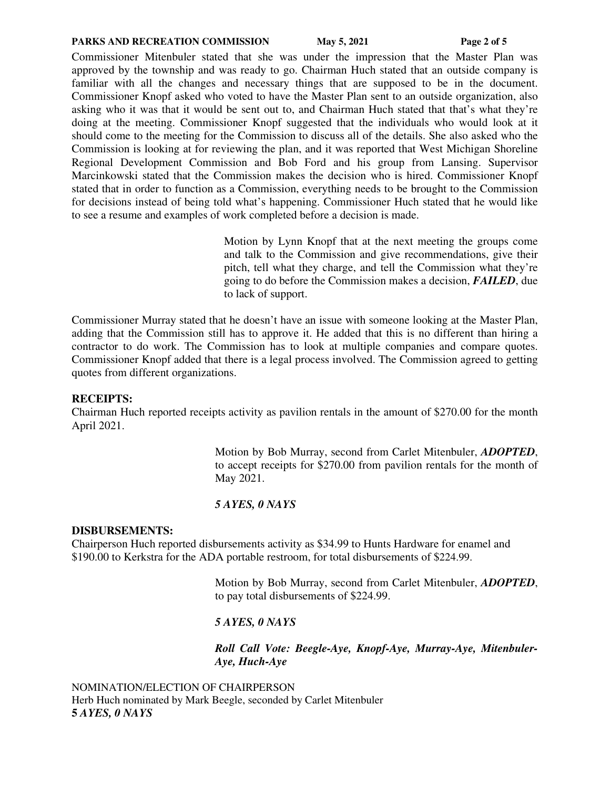#### **PARKS AND RECREATION COMMISSION** May 5, 2021 Page 2 of 5

Commissioner Mitenbuler stated that she was under the impression that the Master Plan was approved by the township and was ready to go. Chairman Huch stated that an outside company is familiar with all the changes and necessary things that are supposed to be in the document. Commissioner Knopf asked who voted to have the Master Plan sent to an outside organization, also asking who it was that it would be sent out to, and Chairman Huch stated that that's what they're doing at the meeting. Commissioner Knopf suggested that the individuals who would look at it should come to the meeting for the Commission to discuss all of the details. She also asked who the Commission is looking at for reviewing the plan, and it was reported that West Michigan Shoreline Regional Development Commission and Bob Ford and his group from Lansing. Supervisor Marcinkowski stated that the Commission makes the decision who is hired. Commissioner Knopf stated that in order to function as a Commission, everything needs to be brought to the Commission for decisions instead of being told what's happening. Commissioner Huch stated that he would like to see a resume and examples of work completed before a decision is made.

> Motion by Lynn Knopf that at the next meeting the groups come and talk to the Commission and give recommendations, give their pitch, tell what they charge, and tell the Commission what they're going to do before the Commission makes a decision, *FAILED*, due to lack of support.

Commissioner Murray stated that he doesn't have an issue with someone looking at the Master Plan, adding that the Commission still has to approve it. He added that this is no different than hiring a contractor to do work. The Commission has to look at multiple companies and compare quotes. Commissioner Knopf added that there is a legal process involved. The Commission agreed to getting quotes from different organizations.

#### **RECEIPTS:**

Chairman Huch reported receipts activity as pavilion rentals in the amount of \$270.00 for the month April 2021.

> Motion by Bob Murray, second from Carlet Mitenbuler, *ADOPTED*, to accept receipts for \$270.00 from pavilion rentals for the month of May 2021.

#### *5 AYES, 0 NAYS*

#### **DISBURSEMENTS:**

Chairperson Huch reported disbursements activity as \$34.99 to Hunts Hardware for enamel and \$190.00 to Kerkstra for the ADA portable restroom, for total disbursements of \$224.99.

> Motion by Bob Murray, second from Carlet Mitenbuler, *ADOPTED*, to pay total disbursements of \$224.99.

#### *5 AYES, 0 NAYS*

# *Roll Call Vote: Beegle-Aye, Knopf-Aye, Murray-Aye, Mitenbuler-Aye, Huch-Aye*

NOMINATION/ELECTION OF CHAIRPERSON Herb Huch nominated by Mark Beegle, seconded by Carlet Mitenbuler **5** *AYES, 0 NAYS*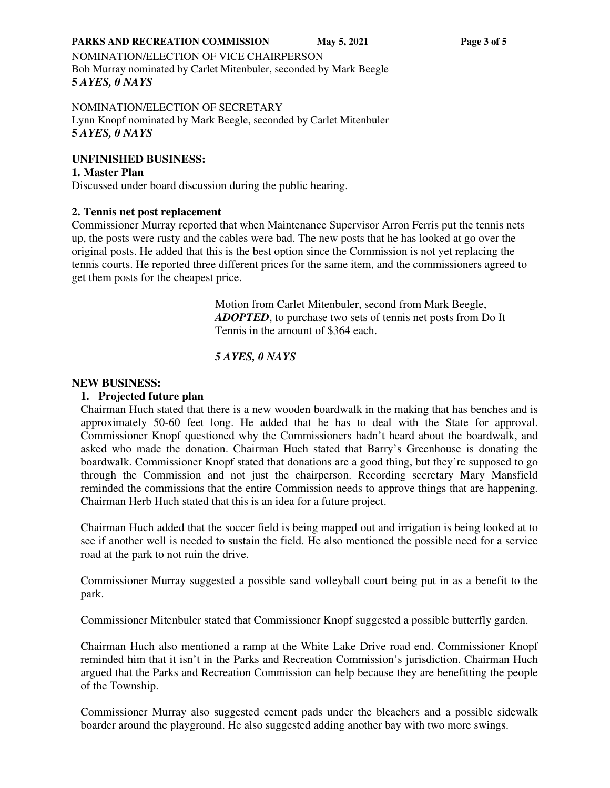#### **PARKS AND RECREATION COMMISSION** May 5, 2021 Page 3 of 5

NOMINATION/ELECTION OF VICE CHAIRPERSON Bob Murray nominated by Carlet Mitenbuler, seconded by Mark Beegle **5** *AYES, 0 NAYS*

#### NOMINATION/ELECTION OF SECRETARY Lynn Knopf nominated by Mark Beegle, seconded by Carlet Mitenbuler **5** *AYES, 0 NAYS*

## **UNFINISHED BUSINESS:**

**1. Master Plan**  Discussed under board discussion during the public hearing.

#### **2. Tennis net post replacement**

Commissioner Murray reported that when Maintenance Supervisor Arron Ferris put the tennis nets up, the posts were rusty and the cables were bad. The new posts that he has looked at go over the original posts. He added that this is the best option since the Commission is not yet replacing the tennis courts. He reported three different prices for the same item, and the commissioners agreed to get them posts for the cheapest price.

> Motion from Carlet Mitenbuler, second from Mark Beegle, *ADOPTED*, to purchase two sets of tennis net posts from Do It Tennis in the amount of \$364 each.

## *5 AYES, 0 NAYS*

#### **NEW BUSINESS:**

## **1. Projected future plan**

Chairman Huch stated that there is a new wooden boardwalk in the making that has benches and is approximately 50-60 feet long. He added that he has to deal with the State for approval. Commissioner Knopf questioned why the Commissioners hadn't heard about the boardwalk, and asked who made the donation. Chairman Huch stated that Barry's Greenhouse is donating the boardwalk. Commissioner Knopf stated that donations are a good thing, but they're supposed to go through the Commission and not just the chairperson. Recording secretary Mary Mansfield reminded the commissions that the entire Commission needs to approve things that are happening. Chairman Herb Huch stated that this is an idea for a future project.

Chairman Huch added that the soccer field is being mapped out and irrigation is being looked at to see if another well is needed to sustain the field. He also mentioned the possible need for a service road at the park to not ruin the drive.

Commissioner Murray suggested a possible sand volleyball court being put in as a benefit to the park.

Commissioner Mitenbuler stated that Commissioner Knopf suggested a possible butterfly garden.

Chairman Huch also mentioned a ramp at the White Lake Drive road end. Commissioner Knopf reminded him that it isn't in the Parks and Recreation Commission's jurisdiction. Chairman Huch argued that the Parks and Recreation Commission can help because they are benefitting the people of the Township.

Commissioner Murray also suggested cement pads under the bleachers and a possible sidewalk boarder around the playground. He also suggested adding another bay with two more swings.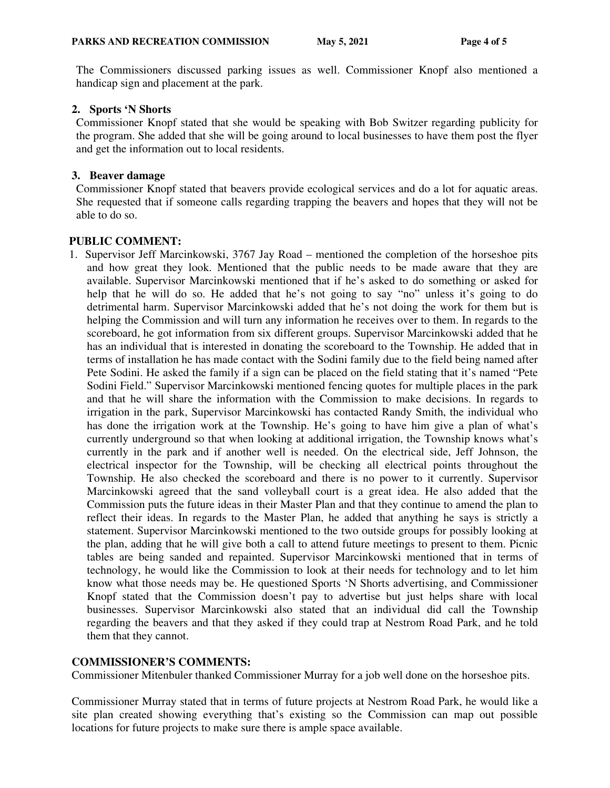The Commissioners discussed parking issues as well. Commissioner Knopf also mentioned a handicap sign and placement at the park.

## **2. Sports 'N Shorts**

Commissioner Knopf stated that she would be speaking with Bob Switzer regarding publicity for the program. She added that she will be going around to local businesses to have them post the flyer and get the information out to local residents.

## **3. Beaver damage**

Commissioner Knopf stated that beavers provide ecological services and do a lot for aquatic areas. She requested that if someone calls regarding trapping the beavers and hopes that they will not be able to do so.

# **PUBLIC COMMENT:**

1. Supervisor Jeff Marcinkowski, 3767 Jay Road – mentioned the completion of the horseshoe pits and how great they look. Mentioned that the public needs to be made aware that they are available. Supervisor Marcinkowski mentioned that if he's asked to do something or asked for help that he will do so. He added that he's not going to say "no" unless it's going to do detrimental harm. Supervisor Marcinkowski added that he's not doing the work for them but is helping the Commission and will turn any information he receives over to them. In regards to the scoreboard, he got information from six different groups. Supervisor Marcinkowski added that he has an individual that is interested in donating the scoreboard to the Township. He added that in terms of installation he has made contact with the Sodini family due to the field being named after Pete Sodini. He asked the family if a sign can be placed on the field stating that it's named "Pete Sodini Field." Supervisor Marcinkowski mentioned fencing quotes for multiple places in the park and that he will share the information with the Commission to make decisions. In regards to irrigation in the park, Supervisor Marcinkowski has contacted Randy Smith, the individual who has done the irrigation work at the Township. He's going to have him give a plan of what's currently underground so that when looking at additional irrigation, the Township knows what's currently in the park and if another well is needed. On the electrical side, Jeff Johnson, the electrical inspector for the Township, will be checking all electrical points throughout the Township. He also checked the scoreboard and there is no power to it currently. Supervisor Marcinkowski agreed that the sand volleyball court is a great idea. He also added that the Commission puts the future ideas in their Master Plan and that they continue to amend the plan to reflect their ideas. In regards to the Master Plan, he added that anything he says is strictly a statement. Supervisor Marcinkowski mentioned to the two outside groups for possibly looking at the plan, adding that he will give both a call to attend future meetings to present to them. Picnic tables are being sanded and repainted. Supervisor Marcinkowski mentioned that in terms of technology, he would like the Commission to look at their needs for technology and to let him know what those needs may be. He questioned Sports 'N Shorts advertising, and Commissioner Knopf stated that the Commission doesn't pay to advertise but just helps share with local businesses. Supervisor Marcinkowski also stated that an individual did call the Township regarding the beavers and that they asked if they could trap at Nestrom Road Park, and he told them that they cannot.

# **COMMISSIONER'S COMMENTS:**

Commissioner Mitenbuler thanked Commissioner Murray for a job well done on the horseshoe pits.

Commissioner Murray stated that in terms of future projects at Nestrom Road Park, he would like a site plan created showing everything that's existing so the Commission can map out possible locations for future projects to make sure there is ample space available.